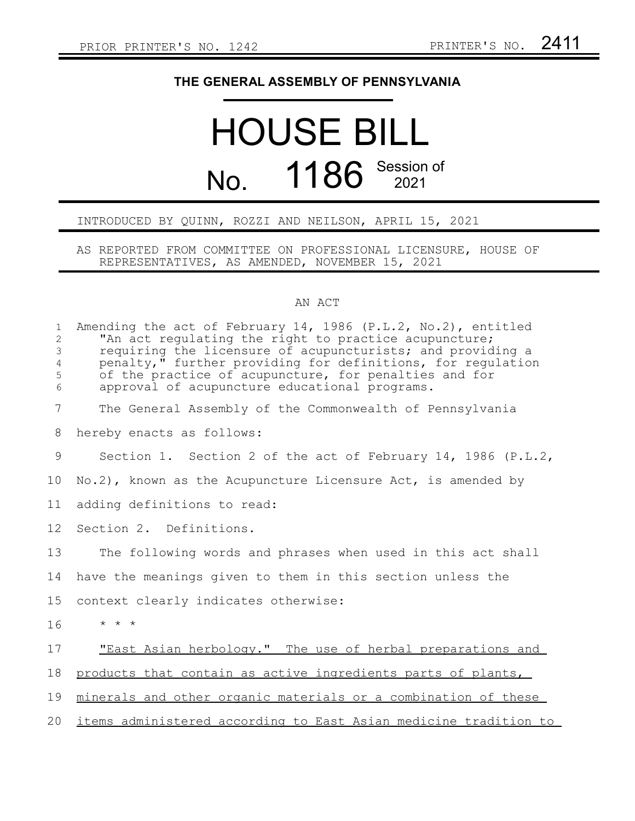## **THE GENERAL ASSEMBLY OF PENNSYLVANIA**

## HOUSE BILL No. 1186 Session of

## INTRODUCED BY QUINN, ROZZI AND NEILSON, APRIL 15, 2021

AS REPORTED FROM COMMITTEE ON PROFESSIONAL LICENSURE, HOUSE OF REPRESENTATIVES, AS AMENDED, NOVEMBER 15, 2021

## AN ACT

| $\mathbf{1}$<br>$\overline{c}$<br>$\mathsf 3$<br>$\overline{4}$<br>5<br>6 | Amending the act of February 14, 1986 $(P.L.2, No.2)$ , entitled<br>"An act regulating the right to practice acupuncture;<br>requiring the licensure of acupuncturists; and providing a<br>penalty," further providing for definitions, for regulation<br>of the practice of acupuncture, for penalties and for<br>approval of acupuncture educational programs. |
|---------------------------------------------------------------------------|------------------------------------------------------------------------------------------------------------------------------------------------------------------------------------------------------------------------------------------------------------------------------------------------------------------------------------------------------------------|
| $7\overline{ }$                                                           | The General Assembly of the Commonwealth of Pennsylvania                                                                                                                                                                                                                                                                                                         |
| 8                                                                         | hereby enacts as follows:                                                                                                                                                                                                                                                                                                                                        |
| 9                                                                         | Section 1. Section 2 of the act of February 14, 1986 (P.L.2,                                                                                                                                                                                                                                                                                                     |
| 10                                                                        | No.2), known as the Acupuncture Licensure Act, is amended by                                                                                                                                                                                                                                                                                                     |
| 11                                                                        | adding definitions to read:                                                                                                                                                                                                                                                                                                                                      |
| 12                                                                        | Section 2. Definitions.                                                                                                                                                                                                                                                                                                                                          |
| 13                                                                        | The following words and phrases when used in this act shall                                                                                                                                                                                                                                                                                                      |
| 14                                                                        | have the meanings given to them in this section unless the                                                                                                                                                                                                                                                                                                       |
| 15                                                                        | context clearly indicates otherwise:                                                                                                                                                                                                                                                                                                                             |
| 16                                                                        | $\star$ $\star$ $\star$                                                                                                                                                                                                                                                                                                                                          |
| 17                                                                        | "East Asian herbology." The use of herbal preparations and                                                                                                                                                                                                                                                                                                       |
| 18                                                                        | products that contain as active ingredients parts of plants,                                                                                                                                                                                                                                                                                                     |
| 19                                                                        | minerals and other organic materials or a combination of these                                                                                                                                                                                                                                                                                                   |
| 20                                                                        | items administered according to East Asian medicine tradition to                                                                                                                                                                                                                                                                                                 |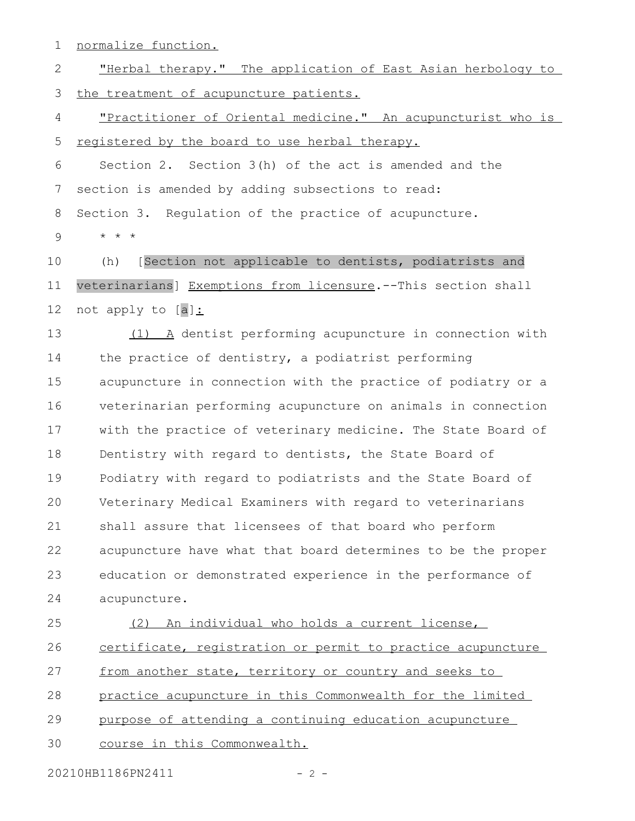normalize function. "Herbal therapy." The application of East Asian herbology to the treatment of acupuncture patients. "Practitioner of Oriental medicine." An acupuncturist who is registered by the board to use herbal therapy. Section 2. Section 3(h) of the act is amended and the section is amended by adding subsections to read: Section 3. Regulation of the practice of acupuncture. \* \* \* (h) [Section not applicable to dentists, podiatrists and veterinarians] Exemptions from licensure.--This section shall not apply to [a]: (1) A dentist performing acupuncture in connection with the practice of dentistry, a podiatrist performing acupuncture in connection with the practice of podiatry or a veterinarian performing acupuncture on animals in connection with the practice of veterinary medicine. The State Board of Dentistry with regard to dentists, the State Board of Podiatry with regard to podiatrists and the State Board of Veterinary Medical Examiners with regard to veterinarians shall assure that licensees of that board who perform acupuncture have what that board determines to be the proper education or demonstrated experience in the performance of acupuncture. (2) An individual who holds a current license, certificate, registration or permit to practice acupuncture from another state, territory or country and seeks to practice acupuncture in this Commonwealth for the limited purpose of attending a continuing education acupuncture 1 2 3 4 5 6 7 8 9 10 11 12 13 14 15 16 17 18 19 20 21 22 23 24 25 26 27 28 29

20210HB1186PN2411 - 2 -

30

course in this Commonwealth.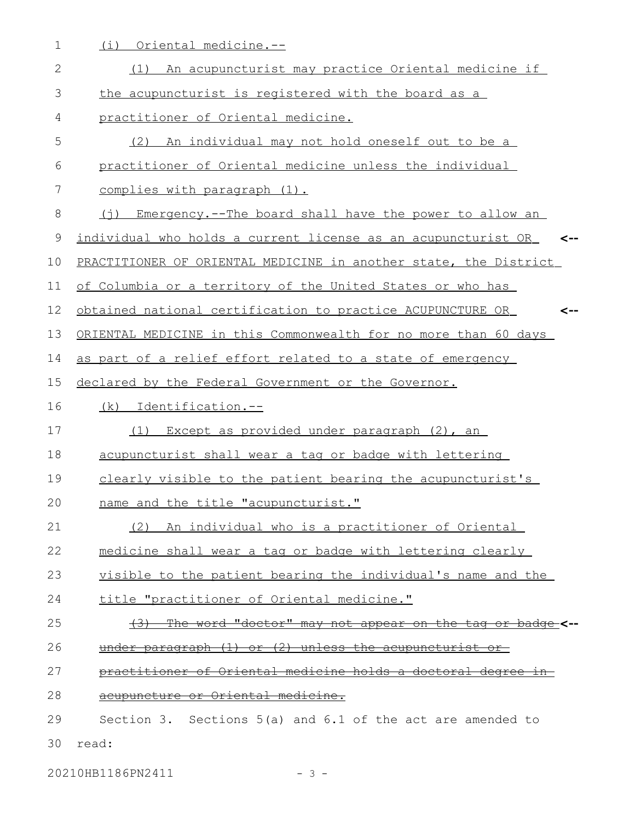1 (i) Oriental medicine.--

| $\mathbf{2}$ | (1) An acupuncturist may practice Oriental medicine if                            |
|--------------|-----------------------------------------------------------------------------------|
| 3            | the acupuncturist is registered with the board as a                               |
| 4            | practitioner of Oriental medicine.                                                |
| 5            | (2) An individual may not hold oneself out to be a                                |
| 6            | practitioner of Oriental medicine unless the individual                           |
| 7            | complies with paragraph (1).                                                      |
| 8            | (i) Emergency.--The board shall have the power to allow an                        |
| 9            | individual who holds a current license as an acupuncturist OR <--                 |
| 10           | PRACTITIONER OF ORIENTAL MEDICINE in another state, the District                  |
| 11           | of Columbia or a territory of the United States or who has                        |
| 12           | obtained national certification to practice ACUPUNCTURE OR                        |
| 13           | ORIENTAL MEDICINE in this Commonwealth for no more than 60 days                   |
| 14           | as part of a relief effort related to a state of emergency                        |
| 15           | declared by the Federal Government or the Governor.                               |
| 16           | (k) Identification.--                                                             |
| 17           | Except as provided under paragraph (2), an<br>(1)                                 |
| 18           | acupuncturist shall wear a tag or badge with lettering                            |
| 19           | clearly visible to the patient bearing the acupuncturist's                        |
| 20           | name and the title "acupuncturist."                                               |
| 21           | (2)<br>An individual who is a practitioner of Oriental                            |
| 22           | medicine shall wear a tag or badge with lettering clearly                         |
| 23           | visible to the patient bearing the individual's name and the                      |
| 24           | title "practitioner of Oriental medicine."                                        |
| 25           | <u>The word "doctor" may not appear on the tag or badge</u> <--<br><del>(3)</del> |
| 26           | under paragraph (1) or (2) unless the acupuncturist or                            |
| 27           | practitioner of Oriental medicine holds a doctoral degree in                      |
| 28           | acupuncture or Oriental medicine.                                                 |
| 29           | Section 3. Sections $5(a)$ and $6.1$ of the act are amended to                    |
| 30           | read:                                                                             |

20210HB1186PN2411 - 3 -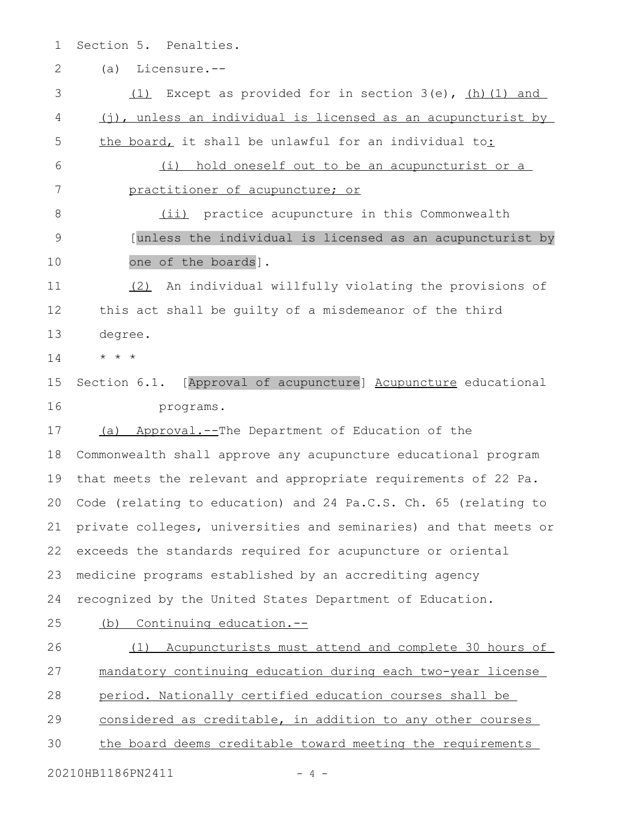- Section 5. Penalties. 1
- (a) Licensure.-- 2

(1) Except as provided for in section  $3(e)$ , (h)(1) and (j), unless an individual is licensed as an acupuncturist by the board, it shall be unlawful for an individual to: (i) hold oneself out to be an acupuncturist or a practitioner of acupuncture; or (ii) practice acupuncture in this Commonwealth [unless the individual is licensed as an acupuncturist by one of the boards]. (2) An individual willfully violating the provisions of this act shall be guilty of a misdemeanor of the third degree. \* \* \* Section 6.1. [Approval of acupuncture] Acupuncture educational programs. (a) Approval.--The Department of Education of the Commonwealth shall approve any acupuncture educational program that meets the relevant and appropriate requirements of 22 Pa. Code (relating to education) and 24 Pa.C.S. Ch. 65 (relating to private colleges, universities and seminaries) and that meets or exceeds the standards required for acupuncture or oriental medicine programs established by an accrediting agency recognized by the United States Department of Education. (b) Continuing education.-- (1) Acupuncturists must attend and complete 30 hours of mandatory continuing education during each two-year license period. Nationally certified education courses shall be considered as creditable, in addition to any other courses the board deems creditable toward meeting the requirements 3 4 5 6 7 8 9 10 11 12 13 14 15 16 17 18 19 20 21 22 23 24 25 26 27 28 29 30